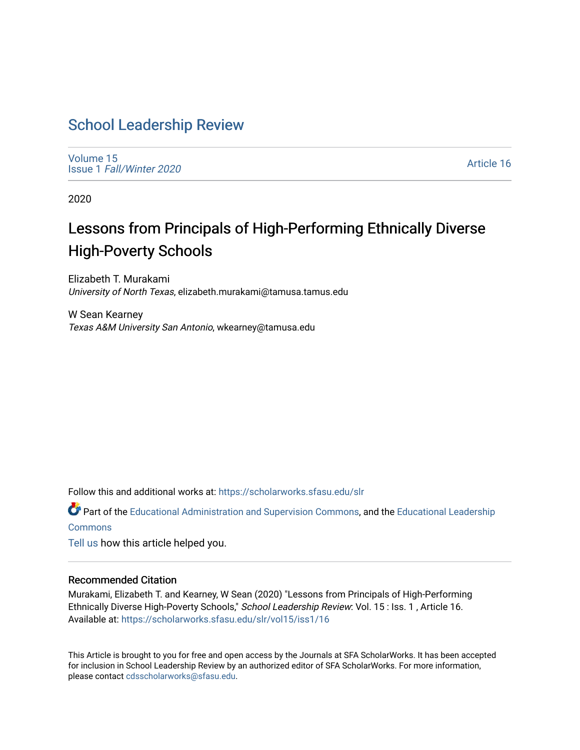# [School Leadership Review](https://scholarworks.sfasu.edu/slr)

[Volume 15](https://scholarworks.sfasu.edu/slr/vol15) Issue 1 [Fall/Winter 2020](https://scholarworks.sfasu.edu/slr/vol15/iss1) 

[Article 16](https://scholarworks.sfasu.edu/slr/vol15/iss1/16) 

2020

# Lessons from Principals of High-Performing Ethnically Diverse High-Poverty Schools

Elizabeth T. Murakami University of North Texas, elizabeth.murakami@tamusa.tamus.edu

W Sean Kearney Texas A&M University San Antonio, wkearney@tamusa.edu

Follow this and additional works at: [https://scholarworks.sfasu.edu/slr](https://scholarworks.sfasu.edu/slr?utm_source=scholarworks.sfasu.edu%2Fslr%2Fvol15%2Fiss1%2F16&utm_medium=PDF&utm_campaign=PDFCoverPages) 

**C** Part of the [Educational Administration and Supervision Commons](http://network.bepress.com/hgg/discipline/787?utm_source=scholarworks.sfasu.edu%2Fslr%2Fvol15%2Fiss1%2F16&utm_medium=PDF&utm_campaign=PDFCoverPages), and the Educational Leadership **[Commons](http://network.bepress.com/hgg/discipline/1230?utm_source=scholarworks.sfasu.edu%2Fslr%2Fvol15%2Fiss1%2F16&utm_medium=PDF&utm_campaign=PDFCoverPages)** 

[Tell us](http://sfasu.qualtrics.com/SE/?SID=SV_0qS6tdXftDLradv) how this article helped you.

#### Recommended Citation

Murakami, Elizabeth T. and Kearney, W Sean (2020) "Lessons from Principals of High-Performing Ethnically Diverse High-Poverty Schools," School Leadership Review: Vol. 15 : Iss. 1 , Article 16. Available at: [https://scholarworks.sfasu.edu/slr/vol15/iss1/16](https://scholarworks.sfasu.edu/slr/vol15/iss1/16?utm_source=scholarworks.sfasu.edu%2Fslr%2Fvol15%2Fiss1%2F16&utm_medium=PDF&utm_campaign=PDFCoverPages) 

This Article is brought to you for free and open access by the Journals at SFA ScholarWorks. It has been accepted for inclusion in School Leadership Review by an authorized editor of SFA ScholarWorks. For more information, please contact [cdsscholarworks@sfasu.edu.](mailto:cdsscholarworks@sfasu.edu)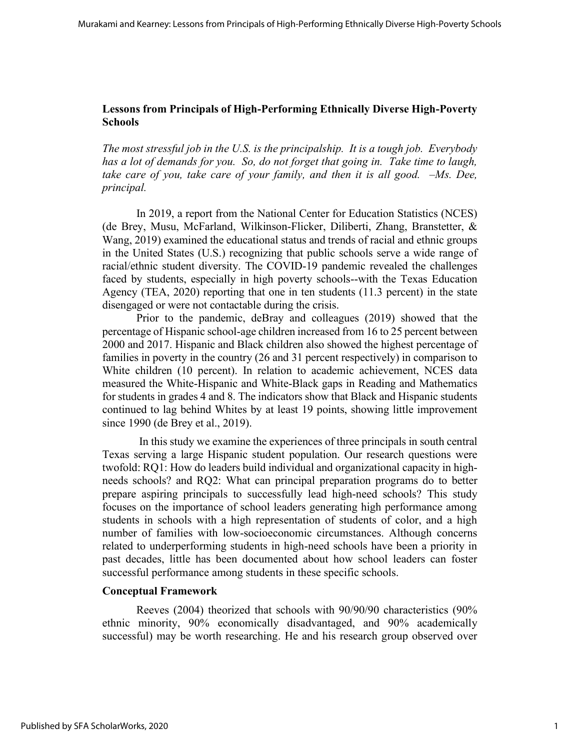# **Lessons from Principals of High-Performing Ethnically Diverse High-Poverty Schools**

*The most stressful job in the U.S. is the principalship. It is a tough job. Everybody has a lot of demands for you. So, do not forget that going in. Take time to laugh, take care of you, take care of your family, and then it is all good. –Ms. Dee, principal.*

In 2019, a report from the National Center for Education Statistics (NCES) (de Brey, Musu, McFarland, Wilkinson-Flicker, Diliberti, Zhang, Branstetter, & Wang, 2019) examined the educational status and trends of racial and ethnic groups in the United States (U.S.) recognizing that public schools serve a wide range of racial/ethnic student diversity. The COVID-19 pandemic revealed the challenges faced by students, especially in high poverty schools--with the Texas Education Agency (TEA, 2020) reporting that one in ten students (11.3 percent) in the state disengaged or were not contactable during the crisis.

Prior to the pandemic, deBray and colleagues (2019) showed that the percentage of Hispanic school-age children increased from 16 to 25 percent between 2000 and 2017. Hispanic and Black children also showed the highest percentage of families in poverty in the country (26 and 31 percent respectively) in comparison to White children (10 percent). In relation to academic achievement, NCES data measured the White-Hispanic and White-Black gaps in Reading and Mathematics for students in grades 4 and 8. The indicators show that Black and Hispanic students continued to lag behind Whites by at least 19 points, showing little improvement since 1990 (de Brey et al., 2019).

In this study we examine the experiences of three principals in south central Texas serving a large Hispanic student population. Our research questions were twofold: RQ1: How do leaders build individual and organizational capacity in highneeds schools? and RQ2: What can principal preparation programs do to better prepare aspiring principals to successfully lead high-need schools? This study focuses on the importance of school leaders generating high performance among students in schools with a high representation of students of color, and a high number of families with low-socioeconomic circumstances. Although concerns related to underperforming students in high-need schools have been a priority in past decades, little has been documented about how school leaders can foster successful performance among students in these specific schools.

### **Conceptual Framework**

Reeves (2004) theorized that schools with 90/90/90 characteristics (90% ethnic minority, 90% economically disadvantaged, and 90% academically successful) may be worth researching. He and his research group observed over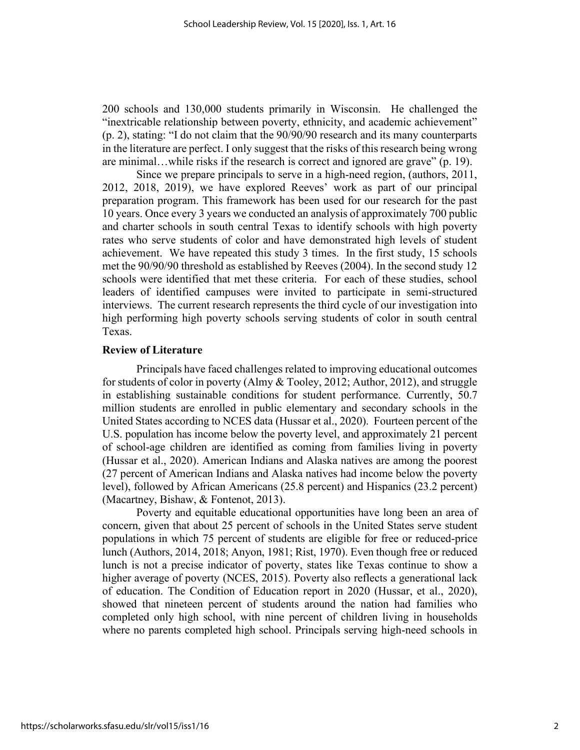200 schools and 130,000 students primarily in Wisconsin. He challenged the "inextricable relationship between poverty, ethnicity, and academic achievement" (p. 2), stating: "I do not claim that the 90/90/90 research and its many counterparts in the literature are perfect. I only suggest that the risks of this research being wrong are minimal…while risks if the research is correct and ignored are grave" (p. 19).

Since we prepare principals to serve in a high-need region, (authors, 2011, 2012, 2018, 2019), we have explored Reeves' work as part of our principal preparation program. This framework has been used for our research for the past 10 years. Once every 3 years we conducted an analysis of approximately 700 public and charter schools in south central Texas to identify schools with high poverty rates who serve students of color and have demonstrated high levels of student achievement. We have repeated this study 3 times. In the first study, 15 schools met the 90/90/90 threshold as established by Reeves (2004). In the second study 12 schools were identified that met these criteria. For each of these studies, school leaders of identified campuses were invited to participate in semi-structured interviews. The current research represents the third cycle of our investigation into high performing high poverty schools serving students of color in south central Texas.

#### **Review of Literature**

Principals have faced challenges related to improving educational outcomes for students of color in poverty (Almy & Tooley, 2012; Author, 2012), and struggle in establishing sustainable conditions for student performance. Currently, 50.7 million students are enrolled in public elementary and secondary schools in the United States according to NCES data (Hussar et al., 2020). Fourteen percent of the U.S. population has income below the poverty level, and approximately 21 percent of school-age children are identified as coming from families living in poverty (Hussar et al., 2020). American Indians and Alaska natives are among the poorest (27 percent of American Indians and Alaska natives had income below the poverty level), followed by African Americans (25.8 percent) and Hispanics (23.2 percent) (Macartney, Bishaw, & Fontenot, 2013).

Poverty and equitable educational opportunities have long been an area of concern, given that about 25 percent of schools in the United States serve student populations in which 75 percent of students are eligible for free or reduced-price lunch (Authors, 2014, 2018; Anyon, 1981; Rist, 1970). Even though free or reduced lunch is not a precise indicator of poverty, states like Texas continue to show a higher average of poverty (NCES, 2015). Poverty also reflects a generational lack of education. The Condition of Education report in 2020 (Hussar, et al., 2020), showed that nineteen percent of students around the nation had families who completed only high school, with nine percent of children living in households where no parents completed high school. Principals serving high-need schools in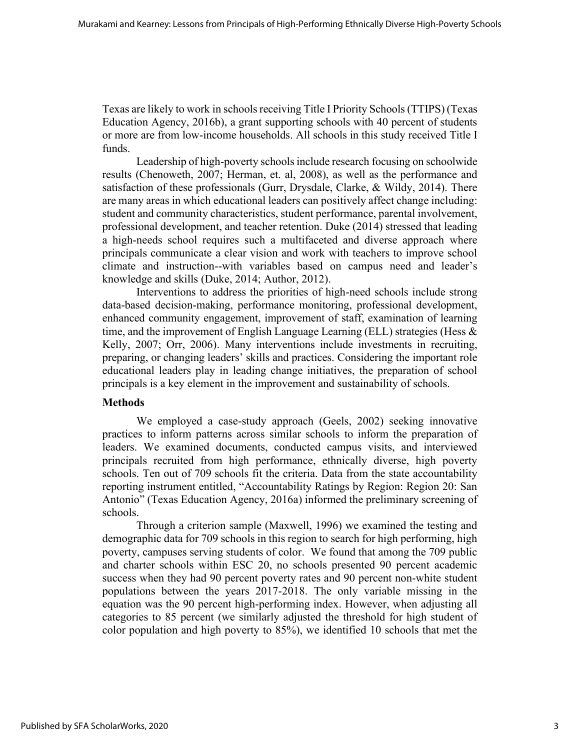Texas are likely to work in schools receiving Title I Priority Schools (TTIPS) (Texas Education Agency, 2016b), a grant supporting schools with 40 percent of students or more are from low-income households. All schools in this study received Title I funds.

Leadership of high-poverty schools include research focusing on schoolwide results (Chenoweth, 2007; Herman, et. al, 2008), as well as the performance and satisfaction of these professionals (Gurr, Drysdale, Clarke, & Wildy, 2014). There are many areas in which educational leaders can positively affect change including: student and community characteristics, student performance, parental involvement, professional development, and teacher retention. Duke (2014) stressed that leading a high-needs school requires such a multifaceted and diverse approach where principals communicate a clear vision and work with teachers to improve school climate and instruction--with variables based on campus need and leader's knowledge and skills (Duke, 2014; Author, 2012).

Interventions to address the priorities of high-need schools include strong data-based decision-making, performance monitoring, professional development, enhanced community engagement, improvement of staff, examination of learning time, and the improvement of English Language Learning (ELL) strategies (Hess  $\&$ Kelly, 2007; Orr, 2006). Many interventions include investments in recruiting, preparing, or changing leaders' skills and practices. Considering the important role educational leaders play in leading change initiatives, the preparation of school principals is a key element in the improvement and sustainability of schools.

### **Methods**

We employed a case-study approach (Geels, 2002) seeking innovative practices to inform patterns across similar schools to inform the preparation of leaders. We examined documents, conducted campus visits, and interviewed principals recruited from high performance, ethnically diverse, high poverty schools. Ten out of 709 schools fit the criteria. Data from the state accountability reporting instrument entitled, "Accountability Ratings by Region: Region 20: San Antonio" (Texas Education Agency, 2016a) informed the preliminary screening of schools.

Through a criterion sample (Maxwell, 1996) we examined the testing and demographic data for 709 schools in this region to search for high performing, high poverty, campuses serving students of color. We found that among the 709 public and charter schools within ESC 20, no schools presented 90 percent academic success when they had 90 percent poverty rates and 90 percent non-white student populations between the years 2017-2018. The only variable missing in the equation was the 90 percent high-performing index. However, when adjusting all categories to 85 percent (we similarly adjusted the threshold for high student of color population and high poverty to 85%), we identified 10 schools that met the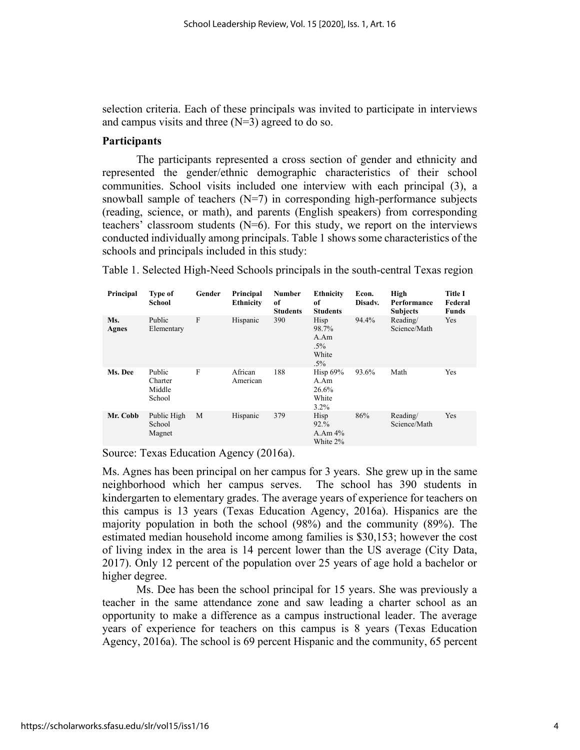selection criteria. Each of these principals was invited to participate in interviews and campus visits and three  $(N=3)$  agreed to do so.

#### **Participants**

The participants represented a cross section of gender and ethnicity and represented the gender/ethnic demographic characteristics of their school communities. School visits included one interview with each principal (3), a snowball sample of teachers  $(N=7)$  in corresponding high-performance subjects (reading, science, or math), and parents (English speakers) from corresponding teachers' classroom students (N=6). For this study, we report on the interviews conducted individually among principals. Table 1 shows some characteristics of the schools and principals included in this study:

| Principal           | <b>Type of</b><br><b>School</b>       | Gender | Principal<br><b>Ethnicity</b> | Number<br>of<br><b>Students</b> | Ethnicity<br>of<br><b>Students</b>                 | Econ.<br>Disadv. | High<br>Performance<br><b>Subjects</b> | <b>Title I</b><br>Federal<br><b>Funds</b> |
|---------------------|---------------------------------------|--------|-------------------------------|---------------------------------|----------------------------------------------------|------------------|----------------------------------------|-------------------------------------------|
| Ms.<br><b>Agnes</b> | Public<br>Elementary                  | F      | Hispanic                      | 390                             | Hisp<br>98.7%<br>A Am<br>$.5\%$<br>White<br>$.5\%$ | 94.4%            | Reading/<br>Science/Math               | Yes                                       |
| Ms. Dee             | Public<br>Charter<br>Middle<br>School | F      | African<br>American           | 188                             | Hisp $69%$<br>A.Am<br>26.6%<br>White<br>3.2%       | 93.6%            | Math                                   | Yes                                       |
| Mr. Cobb            | Public High<br>School<br>Magnet       | M      | Hispanic                      | 379                             | Hisp<br>92.%<br>A.Am $4\%$<br>White 2%             | 86%              | Reading/<br>Science/Math               | Yes                                       |

Table 1. Selected High-Need Schools principals in the south-central Texas region

Source: Texas Education Agency (2016a).

Ms. Agnes has been principal on her campus for 3 years. She grew up in the same neighborhood which her campus serves. The school has 390 students in kindergarten to elementary grades. The average years of experience for teachers on this campus is 13 years (Texas Education Agency, 2016a). Hispanics are the majority population in both the school (98%) and the community (89%). The estimated median household income among families is \$30,153; however the cost of living index in the area is 14 percent lower than the US average (City Data, 2017). Only 12 percent of the population over 25 years of age hold a bachelor or higher degree.

Ms. Dee has been the school principal for 15 years. She was previously a teacher in the same attendance zone and saw leading a charter school as an opportunity to make a difference as a campus instructional leader. The average years of experience for teachers on this campus is 8 years (Texas Education Agency, 2016a). The school is 69 percent Hispanic and the community, 65 percent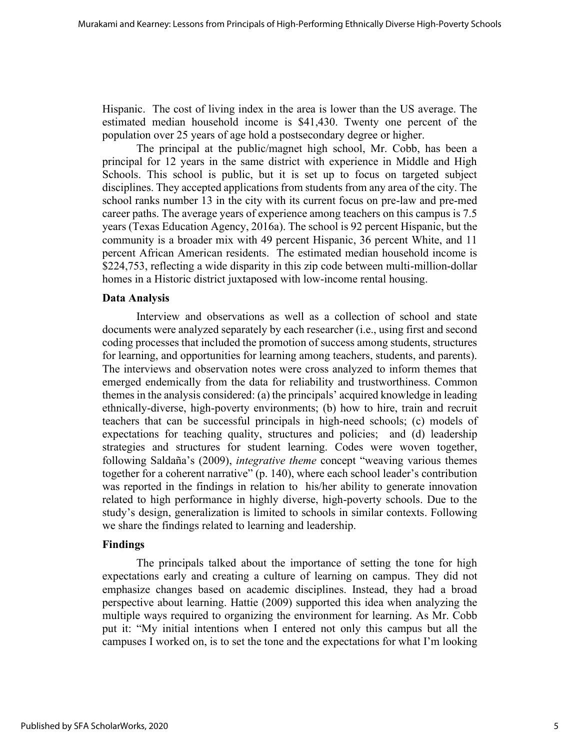Hispanic. The cost of living index in the area is lower than the US average. The estimated median household income is \$41,430. Twenty one percent of the population over 25 years of age hold a postsecondary degree or higher.

The principal at the public/magnet high school, Mr. Cobb, has been a principal for 12 years in the same district with experience in Middle and High Schools. This school is public, but it is set up to focus on targeted subject disciplines. They accepted applications from students from any area of the city. The school ranks number 13 in the city with its current focus on pre-law and pre-med career paths. The average years of experience among teachers on this campus is 7.5 years (Texas Education Agency, 2016a). The school is 92 percent Hispanic, but the community is a broader mix with 49 percent Hispanic, 36 percent White, and 11 percent African American residents. The estimated median household income is \$224,753, reflecting a wide disparity in this zip code between multi-million-dollar homes in a Historic district juxtaposed with low-income rental housing.

### **Data Analysis**

Interview and observations as well as a collection of school and state documents were analyzed separately by each researcher (i.e., using first and second coding processes that included the promotion of success among students, structures for learning, and opportunities for learning among teachers, students, and parents). The interviews and observation notes were cross analyzed to inform themes that emerged endemically from the data for reliability and trustworthiness. Common themes in the analysis considered: (a) the principals' acquired knowledge in leading ethnically-diverse, high-poverty environments; (b) how to hire, train and recruit teachers that can be successful principals in high-need schools; (c) models of expectations for teaching quality, structures and policies; and (d) leadership strategies and structures for student learning. Codes were woven together, following Saldaña's (2009), *integrative theme* concept "weaving various themes together for a coherent narrative" (p. 140), where each school leader's contribution was reported in the findings in relation to his/her ability to generate innovation related to high performance in highly diverse, high-poverty schools. Due to the study's design, generalization is limited to schools in similar contexts. Following we share the findings related to learning and leadership.

### **Findings**

The principals talked about the importance of setting the tone for high expectations early and creating a culture of learning on campus. They did not emphasize changes based on academic disciplines. Instead, they had a broad perspective about learning. Hattie (2009) supported this idea when analyzing the multiple ways required to organizing the environment for learning. As Mr. Cobb put it: "My initial intentions when I entered not only this campus but all the campuses I worked on, is to set the tone and the expectations for what I'm looking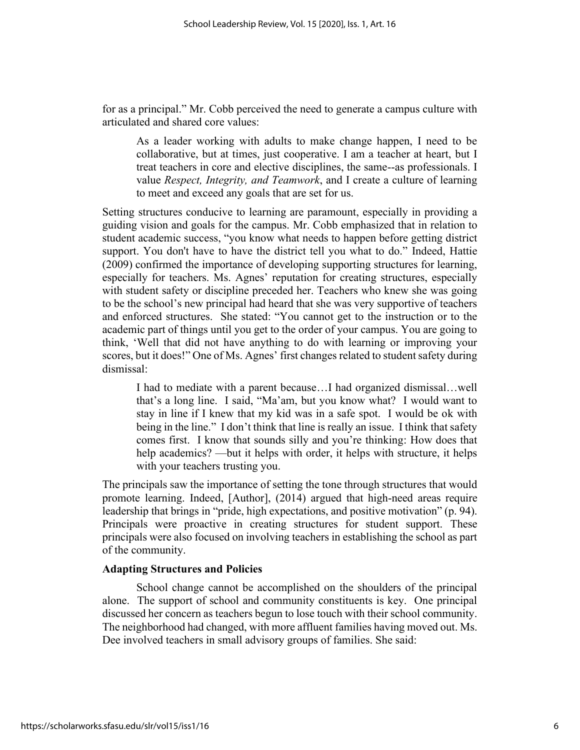for as a principal." Mr. Cobb perceived the need to generate a campus culture with articulated and shared core values:

As a leader working with adults to make change happen, I need to be collaborative, but at times, just cooperative. I am a teacher at heart, but I treat teachers in core and elective disciplines, the same--as professionals. I value *Respect, Integrity, and Teamwork*, and I create a culture of learning to meet and exceed any goals that are set for us.

Setting structures conducive to learning are paramount, especially in providing a guiding vision and goals for the campus. Mr. Cobb emphasized that in relation to student academic success, "you know what needs to happen before getting district support. You don't have to have the district tell you what to do." Indeed, Hattie (2009) confirmed the importance of developing supporting structures for learning, especially for teachers. Ms. Agnes' reputation for creating structures, especially with student safety or discipline preceded her. Teachers who knew she was going to be the school's new principal had heard that she was very supportive of teachers and enforced structures. She stated: "You cannot get to the instruction or to the academic part of things until you get to the order of your campus. You are going to think, 'Well that did not have anything to do with learning or improving your scores, but it does!" One of Ms. Agnes' first changes related to student safety during dismissal:

I had to mediate with a parent because…I had organized dismissal…well that's a long line. I said, "Ma'am, but you know what? I would want to stay in line if I knew that my kid was in a safe spot. I would be ok with being in the line." I don't think that line is really an issue. I think that safety comes first. I know that sounds silly and you're thinking: How does that help academics? —but it helps with order, it helps with structure, it helps with your teachers trusting you.

The principals saw the importance of setting the tone through structures that would promote learning. Indeed, [Author], (2014) argued that high-need areas require leadership that brings in "pride, high expectations, and positive motivation" (p. 94). Principals were proactive in creating structures for student support. These principals were also focused on involving teachers in establishing the school as part of the community.

### **Adapting Structures and Policies**

School change cannot be accomplished on the shoulders of the principal alone. The support of school and community constituents is key. One principal discussed her concern as teachers begun to lose touch with their school community. The neighborhood had changed, with more affluent families having moved out. Ms. Dee involved teachers in small advisory groups of families. She said: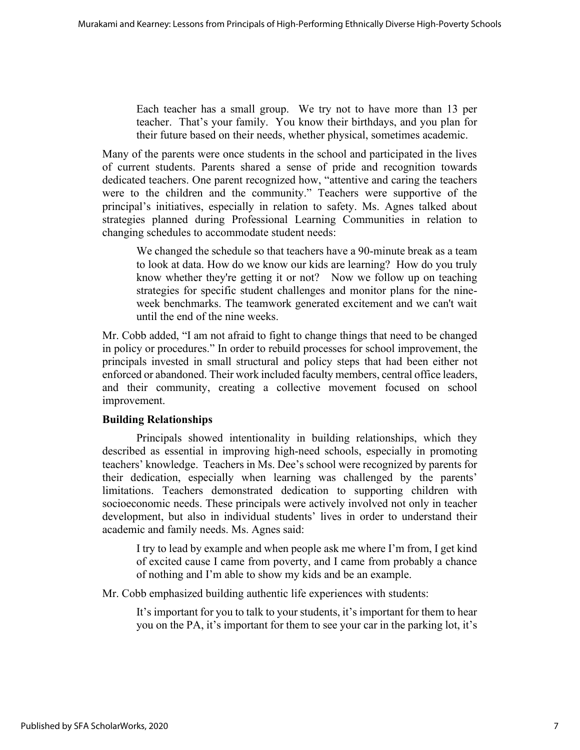Each teacher has a small group. We try not to have more than 13 per teacher. That's your family. You know their birthdays, and you plan for their future based on their needs, whether physical, sometimes academic.

Many of the parents were once students in the school and participated in the lives of current students. Parents shared a sense of pride and recognition towards dedicated teachers. One parent recognized how, "attentive and caring the teachers were to the children and the community." Teachers were supportive of the principal's initiatives, especially in relation to safety. Ms. Agnes talked about strategies planned during Professional Learning Communities in relation to changing schedules to accommodate student needs:

We changed the schedule so that teachers have a 90-minute break as a team to look at data. How do we know our kids are learning? How do you truly know whether they're getting it or not? Now we follow up on teaching strategies for specific student challenges and monitor plans for the nineweek benchmarks. The teamwork generated excitement and we can't wait until the end of the nine weeks.

Mr. Cobb added, "I am not afraid to fight to change things that need to be changed in policy or procedures." In order to rebuild processes for school improvement, the principals invested in small structural and policy steps that had been either not enforced or abandoned. Their work included faculty members, central office leaders, and their community, creating a collective movement focused on school improvement.

### **Building Relationships**

Principals showed intentionality in building relationships, which they described as essential in improving high-need schools, especially in promoting teachers' knowledge. Teachers in Ms. Dee's school were recognized by parents for their dedication, especially when learning was challenged by the parents' limitations. Teachers demonstrated dedication to supporting children with socioeconomic needs. These principals were actively involved not only in teacher development, but also in individual students' lives in order to understand their academic and family needs. Ms. Agnes said:

I try to lead by example and when people ask me where I'm from, I get kind of excited cause I came from poverty, and I came from probably a chance of nothing and I'm able to show my kids and be an example.

Mr. Cobb emphasized building authentic life experiences with students:

It's important for you to talk to your students, it's important for them to hear you on the PA, it's important for them to see your car in the parking lot, it's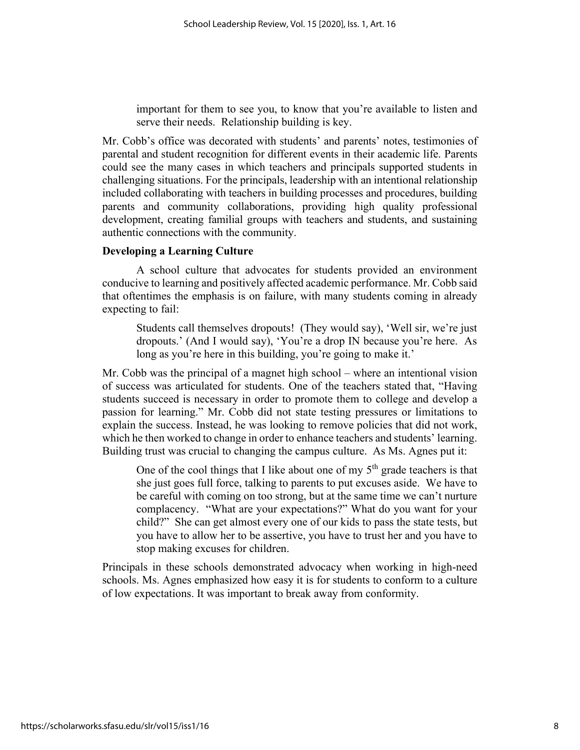important for them to see you, to know that you're available to listen and serve their needs. Relationship building is key.

Mr. Cobb's office was decorated with students' and parents' notes, testimonies of parental and student recognition for different events in their academic life. Parents could see the many cases in which teachers and principals supported students in challenging situations. For the principals, leadership with an intentional relationship included collaborating with teachers in building processes and procedures, building parents and community collaborations, providing high quality professional development, creating familial groups with teachers and students, and sustaining authentic connections with the community.

#### **Developing a Learning Culture**

A school culture that advocates for students provided an environment conducive to learning and positively affected academic performance. Mr. Cobb said that oftentimes the emphasis is on failure, with many students coming in already expecting to fail:

Students call themselves dropouts! (They would say), 'Well sir, we're just dropouts.' (And I would say), 'You're a drop IN because you're here. As long as you're here in this building, you're going to make it.'

Mr. Cobb was the principal of a magnet high school – where an intentional vision of success was articulated for students. One of the teachers stated that, "Having students succeed is necessary in order to promote them to college and develop a passion for learning." Mr. Cobb did not state testing pressures or limitations to explain the success. Instead, he was looking to remove policies that did not work, which he then worked to change in order to enhance teachers and students' learning. Building trust was crucial to changing the campus culture. As Ms. Agnes put it:

One of the cool things that I like about one of my  $5<sup>th</sup>$  grade teachers is that she just goes full force, talking to parents to put excuses aside. We have to be careful with coming on too strong, but at the same time we can't nurture complacency. "What are your expectations?" What do you want for your child?" She can get almost every one of our kids to pass the state tests, but you have to allow her to be assertive, you have to trust her and you have to stop making excuses for children.

Principals in these schools demonstrated advocacy when working in high-need schools. Ms. Agnes emphasized how easy it is for students to conform to a culture of low expectations. It was important to break away from conformity.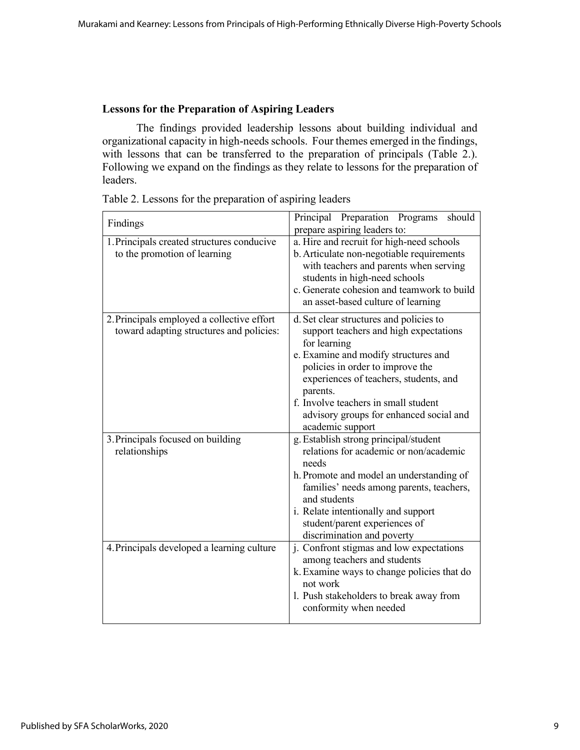# **Lessons for the Preparation of Aspiring Leaders**

The findings provided leadership lessons about building individual and organizational capacity in high-needs schools. Four themes emerged in the findings, with lessons that can be transferred to the preparation of principals (Table 2.). Following we expand on the findings as they relate to lessons for the preparation of leaders.

| Findings                                                                               | Principal Preparation<br>should<br>Programs<br>prepare aspiring leaders to:                                                                                                                                                                                                                                                                |  |  |  |
|----------------------------------------------------------------------------------------|--------------------------------------------------------------------------------------------------------------------------------------------------------------------------------------------------------------------------------------------------------------------------------------------------------------------------------------------|--|--|--|
| 1. Principals created structures conducive<br>to the promotion of learning             | a. Hire and recruit for high-need schools<br>b. Articulate non-negotiable requirements<br>with teachers and parents when serving<br>students in high-need schools<br>c. Generate cohesion and teamwork to build<br>an asset-based culture of learning                                                                                      |  |  |  |
| 2. Principals employed a collective effort<br>toward adapting structures and policies: | d. Set clear structures and policies to<br>support teachers and high expectations<br>for learning<br>e. Examine and modify structures and<br>policies in order to improve the<br>experiences of teachers, students, and<br>parents.<br>f. Involve teachers in small student<br>advisory groups for enhanced social and<br>academic support |  |  |  |
| 3. Principals focused on building<br>relationships                                     | g. Establish strong principal/student<br>relations for academic or non/academic<br>needs<br>h. Promote and model an understanding of<br>families' needs among parents, teachers,<br>and students<br>i. Relate intentionally and support<br>student/parent experiences of<br>discrimination and poverty                                     |  |  |  |
| 4. Principals developed a learning culture                                             | j. Confront stigmas and low expectations<br>among teachers and students<br>k. Examine ways to change policies that do<br>not work<br>1. Push stakeholders to break away from<br>conformity when needed                                                                                                                                     |  |  |  |

Table 2. Lessons for the preparation of aspiring leaders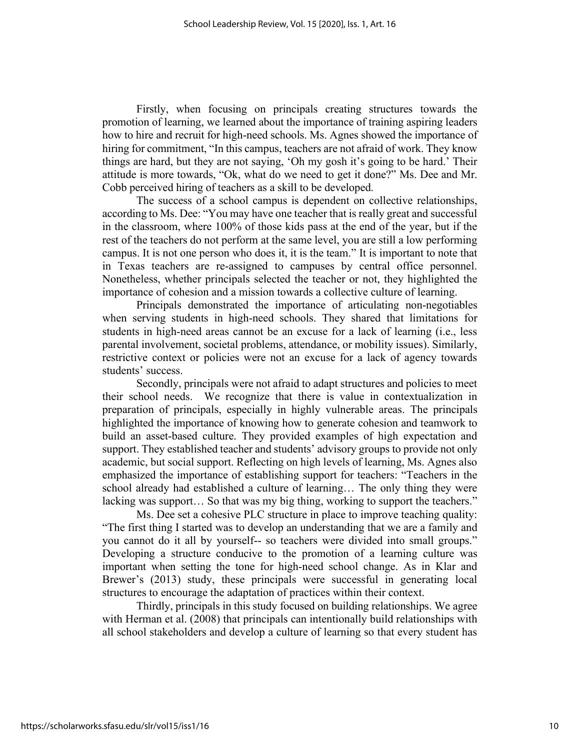Firstly, when focusing on principals creating structures towards the promotion of learning, we learned about the importance of training aspiring leaders how to hire and recruit for high-need schools. Ms. Agnes showed the importance of hiring for commitment, "In this campus, teachers are not afraid of work. They know things are hard, but they are not saying, 'Oh my gosh it's going to be hard.' Their attitude is more towards, "Ok, what do we need to get it done?" Ms. Dee and Mr. Cobb perceived hiring of teachers as a skill to be developed.

The success of a school campus is dependent on collective relationships, according to Ms. Dee: "You may have one teacher that is really great and successful in the classroom, where 100% of those kids pass at the end of the year, but if the rest of the teachers do not perform at the same level, you are still a low performing campus. It is not one person who does it, it is the team." It is important to note that in Texas teachers are re-assigned to campuses by central office personnel. Nonetheless, whether principals selected the teacher or not, they highlighted the importance of cohesion and a mission towards a collective culture of learning.

Principals demonstrated the importance of articulating non-negotiables when serving students in high-need schools. They shared that limitations for students in high-need areas cannot be an excuse for a lack of learning (i.e., less parental involvement, societal problems, attendance, or mobility issues). Similarly, restrictive context or policies were not an excuse for a lack of agency towards students' success.

Secondly, principals were not afraid to adapt structures and policies to meet their school needs. We recognize that there is value in contextualization in preparation of principals, especially in highly vulnerable areas. The principals highlighted the importance of knowing how to generate cohesion and teamwork to build an asset-based culture. They provided examples of high expectation and support. They established teacher and students' advisory groups to provide not only academic, but social support. Reflecting on high levels of learning, Ms. Agnes also emphasized the importance of establishing support for teachers: "Teachers in the school already had established a culture of learning… The only thing they were lacking was support… So that was my big thing, working to support the teachers."

Ms. Dee set a cohesive PLC structure in place to improve teaching quality: "The first thing I started was to develop an understanding that we are a family and you cannot do it all by yourself-- so teachers were divided into small groups." Developing a structure conducive to the promotion of a learning culture was important when setting the tone for high-need school change. As in Klar and Brewer's (2013) study, these principals were successful in generating local structures to encourage the adaptation of practices within their context.

Thirdly, principals in this study focused on building relationships. We agree with Herman et al. (2008) that principals can intentionally build relationships with all school stakeholders and develop a culture of learning so that every student has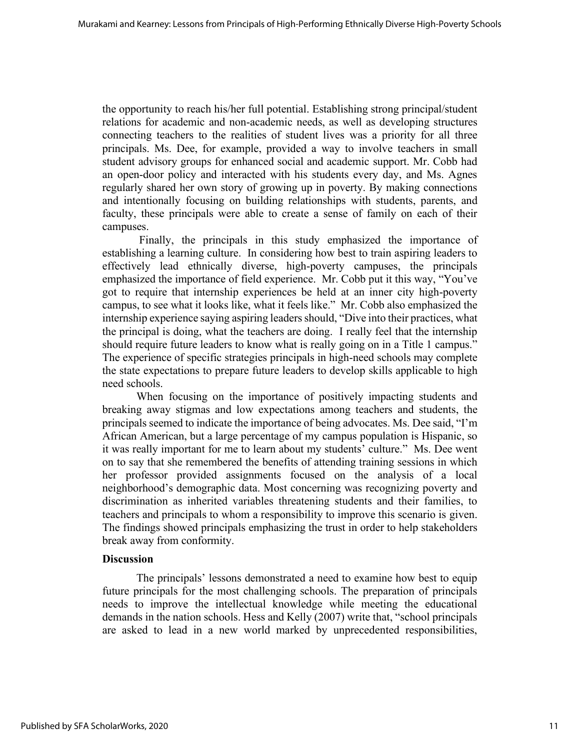the opportunity to reach his/her full potential. Establishing strong principal/student relations for academic and non-academic needs, as well as developing structures connecting teachers to the realities of student lives was a priority for all three principals. Ms. Dee, for example, provided a way to involve teachers in small student advisory groups for enhanced social and academic support. Mr. Cobb had an open-door policy and interacted with his students every day, and Ms. Agnes regularly shared her own story of growing up in poverty. By making connections and intentionally focusing on building relationships with students, parents, and faculty, these principals were able to create a sense of family on each of their campuses.

Finally, the principals in this study emphasized the importance of establishing a learning culture. In considering how best to train aspiring leaders to effectively lead ethnically diverse, high-poverty campuses, the principals emphasized the importance of field experience. Mr. Cobb put it this way, "You've got to require that internship experiences be held at an inner city high-poverty campus, to see what it looks like, what it feels like." Mr. Cobb also emphasized the internship experience saying aspiring leaders should, "Dive into their practices, what the principal is doing, what the teachers are doing. I really feel that the internship should require future leaders to know what is really going on in a Title 1 campus." The experience of specific strategies principals in high-need schools may complete the state expectations to prepare future leaders to develop skills applicable to high need schools.

When focusing on the importance of positively impacting students and breaking away stigmas and low expectations among teachers and students, the principals seemed to indicate the importance of being advocates. Ms. Dee said, "I'm African American, but a large percentage of my campus population is Hispanic, so it was really important for me to learn about my students' culture." Ms. Dee went on to say that she remembered the benefits of attending training sessions in which her professor provided assignments focused on the analysis of a local neighborhood's demographic data. Most concerning was recognizing poverty and discrimination as inherited variables threatening students and their families, to teachers and principals to whom a responsibility to improve this scenario is given. The findings showed principals emphasizing the trust in order to help stakeholders break away from conformity.

### **Discussion**

The principals' lessons demonstrated a need to examine how best to equip future principals for the most challenging schools. The preparation of principals needs to improve the intellectual knowledge while meeting the educational demands in the nation schools. Hess and Kelly (2007) write that, "school principals are asked to lead in a new world marked by unprecedented responsibilities,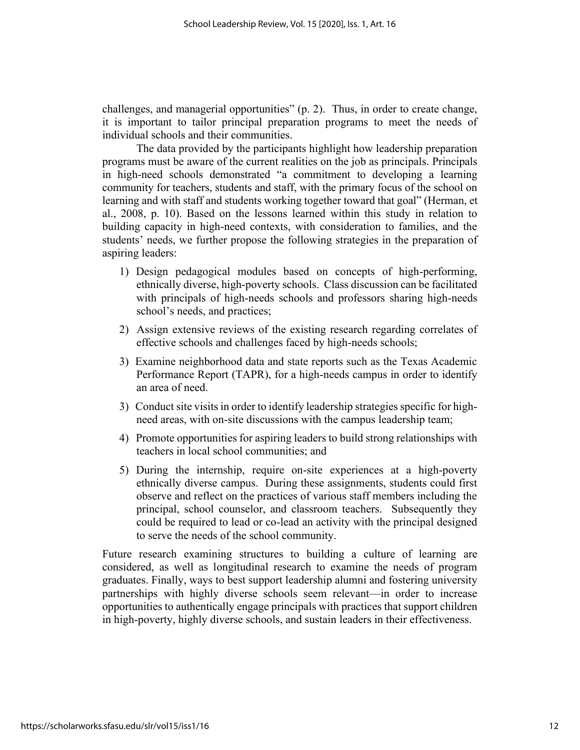challenges, and managerial opportunities" (p. 2). Thus, in order to create change, it is important to tailor principal preparation programs to meet the needs of individual schools and their communities.

The data provided by the participants highlight how leadership preparation programs must be aware of the current realities on the job as principals. Principals in high-need schools demonstrated "a commitment to developing a learning community for teachers, students and staff, with the primary focus of the school on learning and with staff and students working together toward that goal" (Herman, et al., 2008, p. 10). Based on the lessons learned within this study in relation to building capacity in high-need contexts, with consideration to families, and the students' needs, we further propose the following strategies in the preparation of aspiring leaders:

- 1) Design pedagogical modules based on concepts of high-performing, ethnically diverse, high-poverty schools. Class discussion can be facilitated with principals of high-needs schools and professors sharing high-needs school's needs, and practices;
- 2) Assign extensive reviews of the existing research regarding correlates of effective schools and challenges faced by high-needs schools;
- 3) Examine neighborhood data and state reports such as the Texas Academic Performance Report (TAPR), for a high-needs campus in order to identify an area of need.
- 3) Conduct site visits in order to identify leadership strategies specific for highneed areas, with on-site discussions with the campus leadership team;
- 4) Promote opportunities for aspiring leaders to build strong relationships with teachers in local school communities; and
- 5) During the internship, require on-site experiences at a high-poverty ethnically diverse campus. During these assignments, students could first observe and reflect on the practices of various staff members including the principal, school counselor, and classroom teachers. Subsequently they could be required to lead or co-lead an activity with the principal designed to serve the needs of the school community.

Future research examining structures to building a culture of learning are considered, as well as longitudinal research to examine the needs of program graduates. Finally, ways to best support leadership alumni and fostering university partnerships with highly diverse schools seem relevant—in order to increase opportunities to authentically engage principals with practices that support children in high-poverty, highly diverse schools, and sustain leaders in their effectiveness.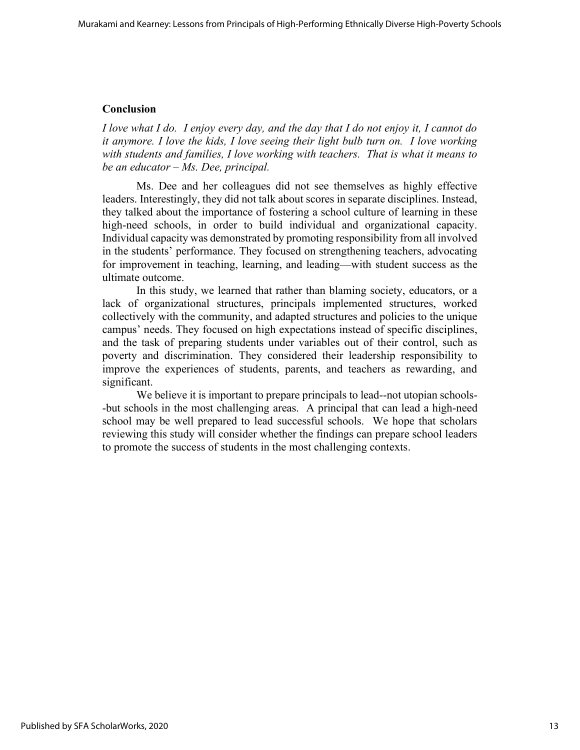# **Conclusion**

*I love what I do. I enjoy every day, and the day that I do not enjoy it, I cannot do it anymore. I love the kids, I love seeing their light bulb turn on. I love working with students and families, I love working with teachers. That is what it means to be an educator – Ms. Dee, principal.*

Ms. Dee and her colleagues did not see themselves as highly effective leaders. Interestingly, they did not talk about scores in separate disciplines. Instead, they talked about the importance of fostering a school culture of learning in these high-need schools, in order to build individual and organizational capacity. Individual capacity was demonstrated by promoting responsibility from all involved in the students' performance. They focused on strengthening teachers, advocating for improvement in teaching, learning, and leading—with student success as the ultimate outcome.

In this study, we learned that rather than blaming society, educators, or a lack of organizational structures, principals implemented structures, worked collectively with the community, and adapted structures and policies to the unique campus' needs. They focused on high expectations instead of specific disciplines, and the task of preparing students under variables out of their control, such as poverty and discrimination. They considered their leadership responsibility to improve the experiences of students, parents, and teachers as rewarding, and significant.

We believe it is important to prepare principals to lead--not utopian schools- -but schools in the most challenging areas. A principal that can lead a high-need school may be well prepared to lead successful schools. We hope that scholars reviewing this study will consider whether the findings can prepare school leaders to promote the success of students in the most challenging contexts.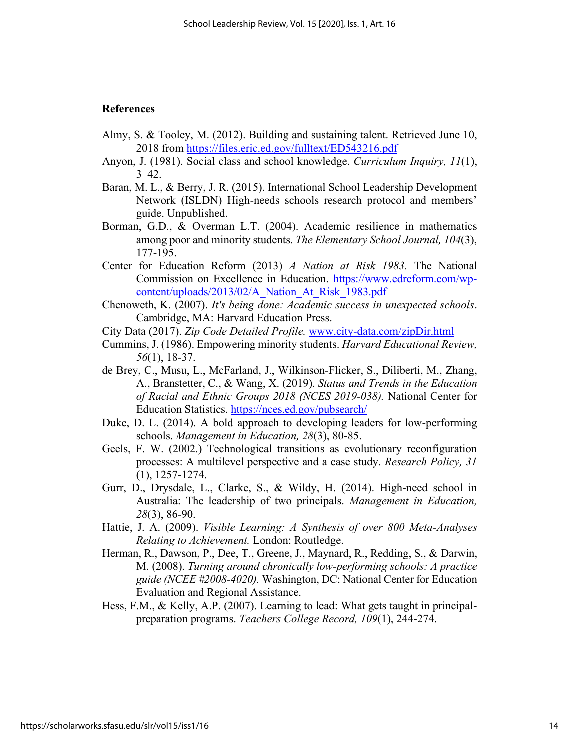### **References**

- Almy, S. & Tooley, M. (2012). Building and sustaining talent. Retrieved June 10, 2018 from <https://files.eric.ed.gov/fulltext/ED543216.pdf>
- Anyon, J. (1981). Social class and school knowledge. *Curriculum Inquiry, 11*(1),  $3 - 42$ .
- Baran, M. L., & Berry, J. R. (2015). International School Leadership Development Network (ISLDN) High-needs schools research protocol and members' guide. Unpublished.
- Borman, G.D., & Overman L.T. (2004). Academic resilience in mathematics among poor and minority students. *The Elementary School Journal, 104*(3), 177-195.
- Center for Education Reform (2013) *A Nation at Risk 1983.* The National Commission on Excellence in Education. [https://www.edreform.com/wp](https://www.edreform.com/wp-content/uploads/2013/02/A_Nation_At_Risk_1983.pdf)[content/uploads/2013/02/A\\_Nation\\_At\\_Risk\\_1983.pdf](https://www.edreform.com/wp-content/uploads/2013/02/A_Nation_At_Risk_1983.pdf)
- Chenoweth, K. (2007). *It's being done: Academic success in unexpected schools*. Cambridge, MA: Harvard Education Press.
- City Data (2017). *Zip Code Detailed Profile.* [www.city-data.com/zipDir.html](http://www.city-data.com/zipDir.html)
- Cummins, J. (1986). Empowering minority students. *Harvard Educational Review, 56*(1), 18-37.
- de Brey, C., Musu, L., McFarland, J., Wilkinson-Flicker, S., Diliberti, M., Zhang, A., Branstetter, C., & Wang, X. (2019). *Status and Trends in the Education of Racial and Ethnic Groups 2018 (NCES 2019-038).* National Center for Education Statistics.<https://nces.ed.gov/pubsearch/>
- Duke, D. L. (2014). A bold approach to developing leaders for low-performing schools. *Management in Education, 28*(3), 80-85.
- Geels, F. W. (2002.) Technological transitions as evolutionary reconfiguration processes: A multilevel perspective and a case study. *Research Policy, 31*  (1), 1257-1274.
- Gurr, D., Drysdale, L., Clarke, S., & Wildy, H. (2014). High-need school in Australia: The leadership of two principals. *Management in Education, 28*(3), 86-90.
- Hattie, J. A. (2009). *Visible Learning: A Synthesis of over 800 Meta-Analyses Relating to Achievement.* London: Routledge.
- Herman, R., Dawson, P., Dee, T., Greene, J., Maynard, R., Redding, S., & Darwin, M. (2008). *Turning around chronically low-performing schools: A practice guide (NCEE #2008-4020).* Washington, DC: National Center for Education Evaluation and Regional Assistance.
- Hess, F.M., & Kelly, A.P. (2007). Learning to lead: What gets taught in principalpreparation programs. *Teachers College Record, 109*(1), 244-274.